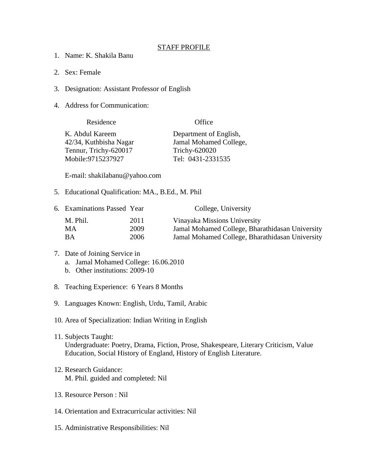## STAFF PROFILE

- 1. Name: K. Shakila Banu
- 2. Sex: Female
- 3. Designation: Assistant Professor of English
- 4. Address for Communication:

| Residence              | Office                 |
|------------------------|------------------------|
| K. Abdul Kareem        | Department of English, |
| 42/34, Kuthbisha Nagar | Jamal Mohamed College, |
| Tennur, Trichy-620017  | Trichy-620020          |
| Mobile:9715237927      | Tel: 0431-2331535      |

E-mail: shakilabanu@yahoo.com

5. Educational Qualification: MA., B.Ed., M. Phil

|          |      | College, University                             |
|----------|------|-------------------------------------------------|
| M. Phil. | 2011 | Vinayaka Missions University                    |
| MA.      | 2009 | Jamal Mohamed College, Bharathidasan University |
| ВA       | 2006 | Jamal Mohamed College, Bharathidasan University |
|          |      | 6. Examinations Passed Year                     |

## 7. Date of Joining Service in a. Jamal Mohamed College: 16.06.2010

- b. Other institutions: 2009-10
- 8. Teaching Experience: 6 Years 8 Months
- 9. Languages Known: English, Urdu, Tamil, Arabic
- 10. Area of Specialization: Indian Writing in English
- 11. Subjects Taught: Undergraduate: Poetry, Drama, Fiction, Prose, Shakespeare, Literary Criticism, Value Education, Social History of England, History of English Literature.
- 12. Research Guidance: M. Phil. guided and completed: Nil
- 13. Resource Person : Nil
- 14. Orientation and Extracurricular activities: Nil
- 15. Administrative Responsibilities: Nil